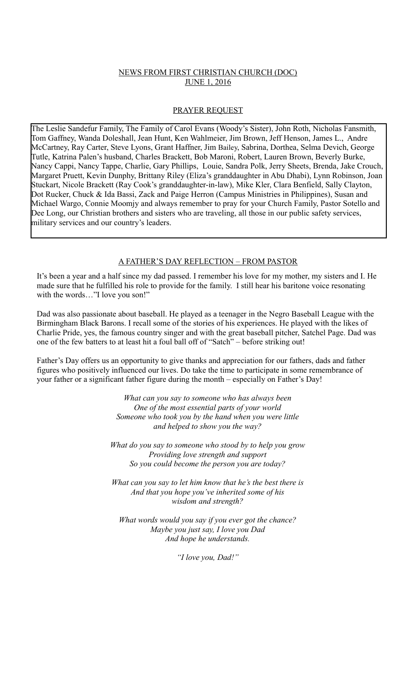# NEWS FROM FIRST CHRISTIAN CHURCH (DOC) JUNE 1, 2016

### PRAYER REQUEST

The Leslie Sandefur Family, The Family of Carol Evans (Woody's Sister), John Roth, Nicholas Fansmith, Tom Gaffney, Wanda Doleshall, Jean Hunt, Ken Wahlmeier, Jim Brown, Jeff Henson, James L., Andre McCartney, Ray Carter, Steve Lyons, Grant Haffner, Jim Bailey, Sabrina, Dorthea, Selma Devich, George Tutle, Katrina Palen's husband, Charles Brackett, Bob Maroni, Robert, Lauren Brown, Beverly Burke, Nancy Cappi, Nancy Tappe, Charlie, Gary Phillips, Louie, Sandra Polk, Jerry Sheets, Brenda, Jake Crouch, Margaret Pruett, Kevin Dunphy, Brittany Riley (Eliza's granddaughter in Abu Dhabi), Lynn Robinson, Joan Stuckart, Nicole Brackett (Ray Cook's granddaughter-in-law), Mike Kler, Clara Benfield, Sally Clayton, Dot Rucker, Chuck & Ida Bassi, Zack and Paige Herron (Campus Ministries in Philippines), Susan and Michael Wargo, Connie Moomjy and always remember to pray for your Church Family, Pastor Sotello and Dee Long, our Christian brothers and sisters who are traveling, all those in our public safety services, military services and our country's leaders.

#### A FATHER'S DAY REFLECTION – FROM PASTOR

It's been a year and a half since my dad passed. I remember his love for my mother, my sisters and I. He made sure that he fulfilled his role to provide for the family. I still hear his baritone voice resonating with the words..."I love you son!"

Dad was also passionate about baseball. He played as a teenager in the Negro Baseball League with the Birmingham Black Barons. I recall some of the stories of his experiences. He played with the likes of Charlie Pride, yes, the famous country singer and with the great baseball pitcher, Satchel Page. Dad was one of the few batters to at least hit a foul ball off of "Satch" – before striking out!

Father's Day offers us an opportunity to give thanks and appreciation for our fathers, dads and father figures who positively influenced our lives. Do take the time to participate in some remembrance of your father or a significant father figure during the month – especially on Father's Day!

> *What can you say to someone who has always been One of the most essential parts of your world Someone who took you by the hand when you were little and helped to show you the way?*

*What do you say to someone who stood by to help you grow Providing love strength and support So you could become the person you are today?*

*What can you say to let him know that he's the best there is And that you hope you've inherited some of his wisdom and strength?*

*What words would you say if you ever got the chance? Maybe you just say, I love you Dad And hope he understands.*

*"I love you, Dad!"*